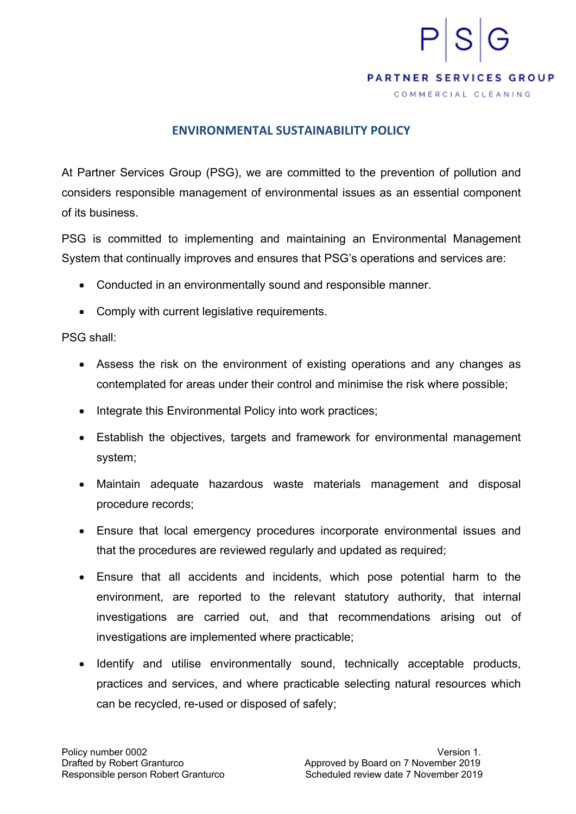## **PARTNER SERVICES GROUP**

COMMERCIAL CLEANING

## **ENVIRONMENTAL SUSTAINABILITY POLICY**

At Partner Services Group (PSG), we are committed to the prevention of pollution and considers responsible management of environmental issues as an essential component of its business.

PSG is committed to implementing and maintaining an Environmental Management System that continually improves and ensures that PSG's operations and services are:

- Conducted in an environmentally sound and responsible manner.
- Comply with current legislative requirements.

## PSG shall:

- Assess the risk on the environment of existing operations and any changes as contemplated for areas under their control and minimise the risk where possible;
- Integrate this Environmental Policy into work practices;
- Establish the objectives, targets and framework for environmental management system;
- Maintain adequate hazardous waste materials management and disposal procedure records;
- Ensure that local emergency procedures incorporate environmental issues and that the procedures are reviewed regularly and updated as required;
- Ensure that all accidents and incidents, which pose potential harm to the environment, are reported to the relevant statutory authority, that internal investigations are carried out, and that recommendations arising out of investigations are implemented where practicable;
- Identify and utilise environmentally sound, technically acceptable products, practices and services, and where practicable selecting natural resources which can be recycled, re-used or disposed of safely;